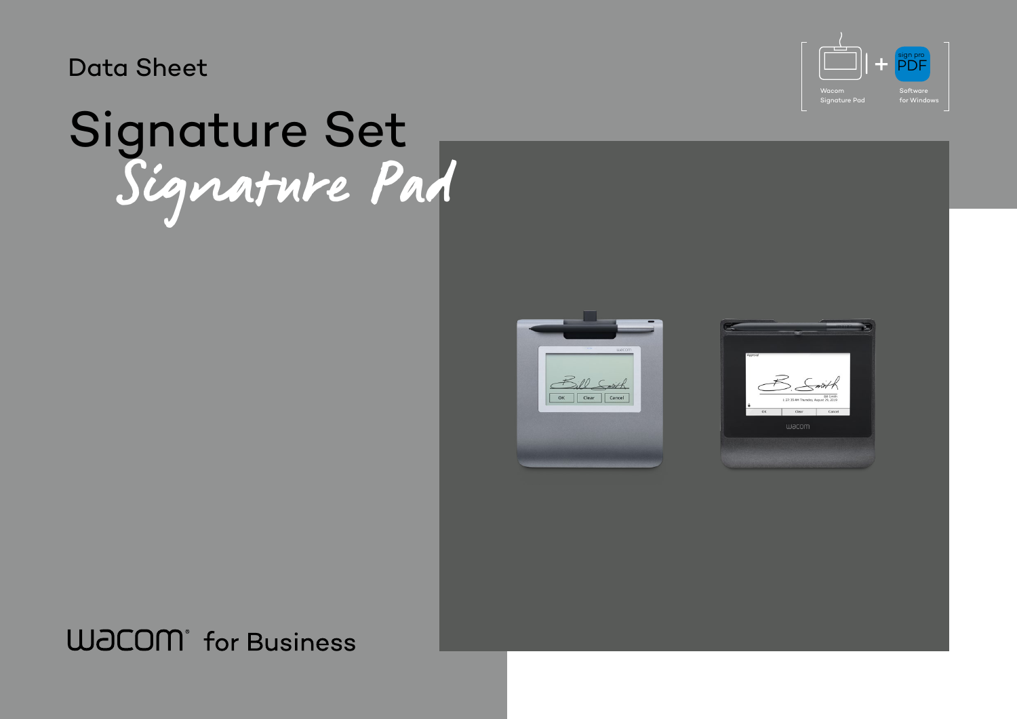Data Sheet

# Signature Pad Signature Set

**WJCOM** for Business



| Approval |
|----------|
|          |
|          |
|          |
|          |
|          |
|          |
|          |
|          |
|          |
|          |
|          |
|          |
|          |
|          |
|          |
|          |
|          |
|          |
|          |
|          |
|          |
|          |
|          |
|          |
|          |
|          |
| OK       |
|          |
|          |
|          |
|          |
|          |
|          |
|          |
|          |
|          |
|          |
|          |
|          |
|          |
|          |
|          |
|          |
|          |
|          |
|          |
|          |
|          |
|          |
|          |
|          |
|          |
|          |



**Software** for Windows



Wacom Signature Pad PDF sign pro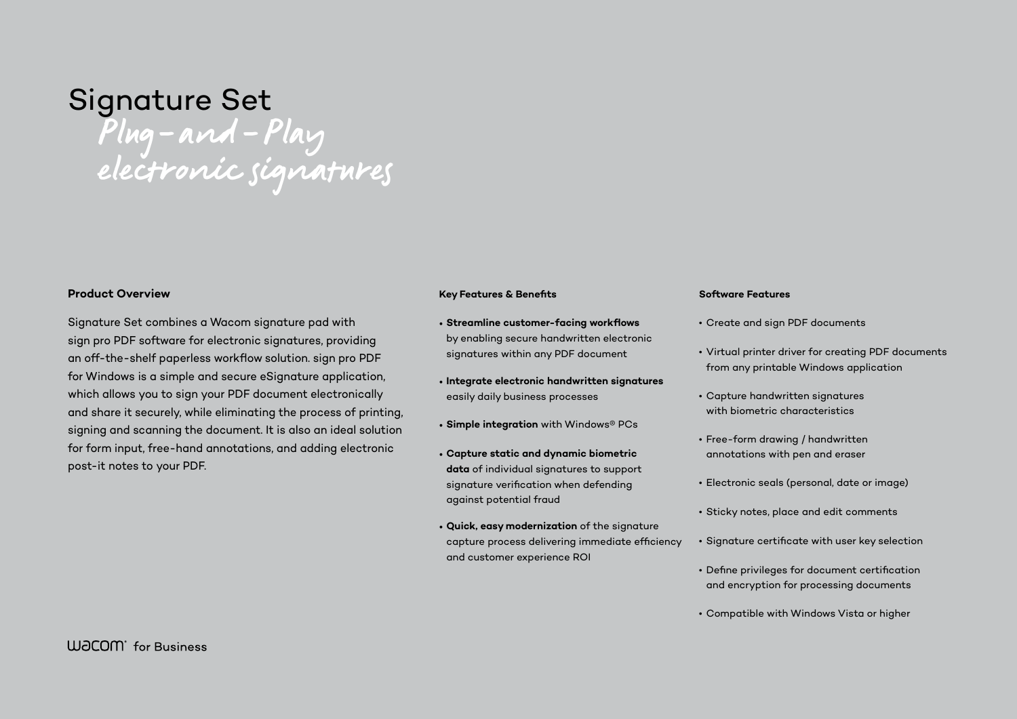# Signature Set Plug-and-Play electronic signatures

### **Product Overview**

Signature Set combines a Wacom signature pad with sign pro PDF software for electronic signatures, providing an off-the-shelf paperless workflow solution. sign pro PDF for Windows is a simple and secure eSignature application, which allows you to sign your PDF document electronically and share it securely, while eliminating the process of printing, signing and scanning the document. It is also an ideal solution for form input, free-hand annotations, and adding electronic post-it notes to your PDF.

### **Key Features & Benefits**

- **Streamline customer-facing workflows** by enabling secure handwritten electronic signatures within any PDF document
- **Integrate electronic handwritten signatures** easily daily business processes
- **Simple integration** with Windows® PCs
- **Capture static and dynamic biometric data** of individual signatures to support signature verification when defending against potential fraud
- **Quick, easy modernization** of the signature capture process delivering immediate efficiency and customer experience ROI

#### **Software Features**

- 
- 
- 
- 
- 
- 
- 
- 
- 

• Create and sign PDF documents

• Virtual printer driver for creating PDF documents from any printable Windows application

• Capture handwritten signatures with biometric characteristics

• Free-form drawing / handwritten annotations with pen and eraser

• Electronic seals (personal, date or image)

• Sticky notes, place and edit comments

• Signature certificate with user key selection

• Define privileges for document certification and encryption for processing documents

• Compatible with Windows Vista or higher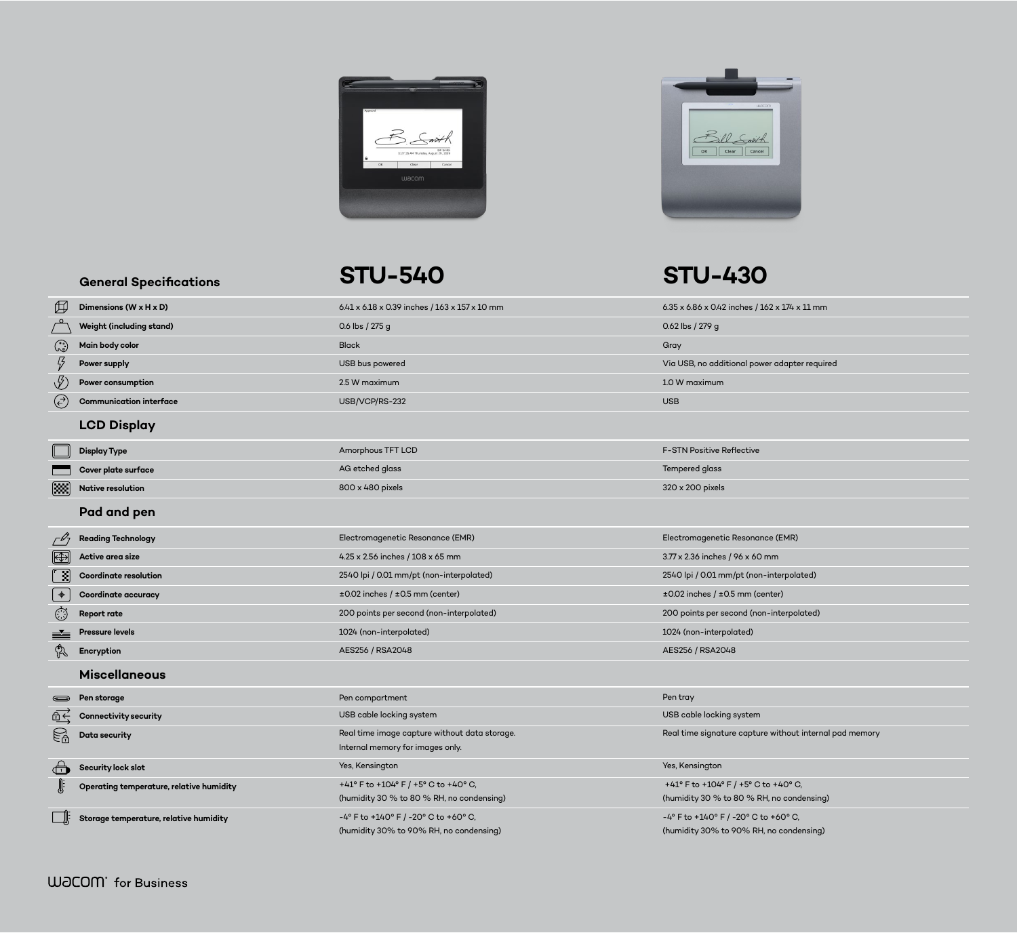**General Specifications**



 $6.2 \times 174 \times 11 \text{ mm}$ 

er adapter required

e (EMR)

interpolated)

nter)

-interpolated)

 $\Phi$  without internal pad memory

 $+40^{\circ}$  C, , no condensing<mark>)</mark>

| 田                    | Dimensions (W x H x D)                   | 6.41 x 6.18 x 0.39 inches / 163 x 157 x 10 mm                                     | 6.35 x 6.86 x 0.42 inches / 162 > |
|----------------------|------------------------------------------|-----------------------------------------------------------------------------------|-----------------------------------|
|                      | <b>Weight (including stand)</b>          | 0.6 lbs / 275 g                                                                   | 0.62 lbs / 279 g                  |
| ۞                    | Main body color                          | <b>Black</b>                                                                      | Gray                              |
| $\frac{1}{2}$        | <b>Power supply</b>                      | USB bus powered                                                                   | Via USB, no additional power a    |
| $\sqrt[4]{2}$        | Power consumption                        | 2.5 W maximum                                                                     | 1.0 W maximum                     |
| $(\vec{\cdot})$      | <b>Communication interface</b>           | USB/VCP/RS-232                                                                    | <b>USB</b>                        |
|                      | <b>LCD Display</b>                       |                                                                                   |                                   |
|                      | <b>Display Type</b>                      | Amorphous TFT LCD                                                                 | <b>F-STN Positive Reflective</b>  |
|                      | Cover plate surface                      | AG etched glass                                                                   | <b>Tempered glass</b>             |
| [388]                | <b>Native resolution</b>                 | 800 x 480 pixels                                                                  | 320 x 200 pixels                  |
|                      | Pad and pen                              |                                                                                   |                                   |
|                      | <b>Reading Technology</b>                | Electromagenetic Resonance (EMR)                                                  | Electromagenetic Resonance (      |
| $\mathbb{R}$         | Active area size                         | 4.25 x 2.56 inches / 108 x 65 mm                                                  | 3.77 x 2.36 inches / 96 x 60 mm   |
| [ 刭                  | <b>Coordinate resolution</b>             | 2540 lpi / 0.01 mm/pt (non-interpolated)                                          | 2540 lpi / 0.01 mm/pt (non-int    |
| $\rightarrow$        | <b>Coordinate accuracy</b>               | $\pm 0.02$ inches / $\pm 0.5$ mm (center)                                         | ±0.02 inches / ±0.5 mm (cente     |
| $\bigcirc$           | <b>Report rate</b>                       | 200 points per second (non-interpolated)                                          | 200 points per second (non-in     |
|                      | <b>Pressure levels</b>                   | 1024 (non-interpolated)                                                           | 1024 (non-interpolated)           |
|                      | Encryption                               | AES256 / RSA2048                                                                  | AES256 / RSA2048                  |
|                      | <b>Miscellaneous</b>                     |                                                                                   |                                   |
|                      | Pen storage                              | Pen compartment                                                                   | Pen tray                          |
| $\oplus \leftarrow$  | <b>Connectivity security</b>             | USB cable locking system                                                          | USB cable locking system          |
|                      | Data security                            | Real time image capture without data storage.<br>Internal memory for images only. | Real time signature capture wi    |
| $\overline{\Box}$    | Security lock slot                       | Yes, Kensington                                                                   | Yes, Kensington                   |
| $\sqrt{\frac{1}{2}}$ | Operating temperature, relative humidity | +41° F to +104° F / +5° C to +40° C,                                              | +41° F to +104° F / +5° C to +    |
|                      |                                          | (humidity 30 % to 80 % RH, no condensing)                                         | (humidity 30 % to 80 % RH, no     |
|                      | Storage temperature, relative humidity   | $-4^{\circ}$ F to +140° F / -20° C to +60° C,                                     | -4° F to +140° F / -20° C to +6   |
|                      |                                          | (humidity 30% to 90% RH, no condensing)                                           | (humidity 30% to 90% RH, no       |

+60 $\degree$  C, (humidity 30% to 90% RH, no condensing)





## **STU-540 STU-430**